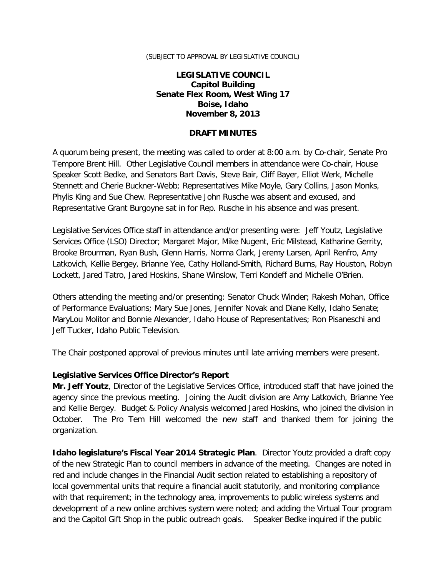#### (SUBJECT TO APPROVAL BY LEGISLATIVE COUNCIL)

### **LEGISLATIVE COUNCIL Capitol Building Senate Flex Room, West Wing 17 Boise, Idaho November 8, 2013**

#### **DRAFT MINUTES**

A quorum being present, the meeting was called to order at 8:00 a.m. by Co-chair, Senate Pro Tempore Brent Hill. Other Legislative Council members in attendance were Co-chair, House Speaker Scott Bedke, and Senators Bart Davis, Steve Bair, Cliff Bayer, Elliot Werk, Michelle Stennett and Cherie Buckner-Webb; Representatives Mike Moyle, Gary Collins, Jason Monks, Phylis King and Sue Chew. Representative John Rusche was absent and excused, and Representative Grant Burgoyne sat in for Rep. Rusche in his absence and was present.

Legislative Services Office staff in attendance and/or presenting were: Jeff Youtz, Legislative Services Office (LSO) Director; Margaret Major, Mike Nugent, Eric Milstead, Katharine Gerrity, Brooke Brourman, Ryan Bush, Glenn Harris, Norma Clark, Jeremy Larsen, April Renfro, Amy Latkovich, Kellie Bergey, Brianne Yee, Cathy Holland-Smith, Richard Burns, Ray Houston, Robyn Lockett, Jared Tatro, Jared Hoskins, Shane Winslow, Terri Kondeff and Michelle O'Brien.

Others attending the meeting and/or presenting: Senator Chuck Winder; Rakesh Mohan, Office of Performance Evaluations; Mary Sue Jones, Jennifer Novak and Diane Kelly, Idaho Senate; MaryLou Molitor and Bonnie Alexander, Idaho House of Representatives; Ron Pisaneschi and Jeff Tucker, Idaho Public Television.

The Chair postponed approval of previous minutes until late arriving members were present.

### **Legislative Services Office Director's Report**

**Mr. Jeff Youtz**, Director of the Legislative Services Office, introduced staff that have joined the agency since the previous meeting. Joining the Audit division are Amy Latkovich, Brianne Yee and Kellie Bergey. Budget & Policy Analysis welcomed Jared Hoskins, who joined the division in October. The Pro Tem Hill welcomed the new staff and thanked them for joining the organization.

**Idaho legislature's Fiscal Year 2014 Strategic Plan**. Director Youtz provided a draft copy of the new Strategic Plan to council members in advance of the meeting. Changes are noted in red and include changes in the Financial Audit section related to establishing a repository of local governmental units that require a financial audit statutorily, and monitoring compliance with that requirement; in the technology area, improvements to public wireless systems and development of a new online archives system were noted; and adding the Virtual Tour program and the Capitol Gift Shop in the public outreach goals. Speaker Bedke inquired if the public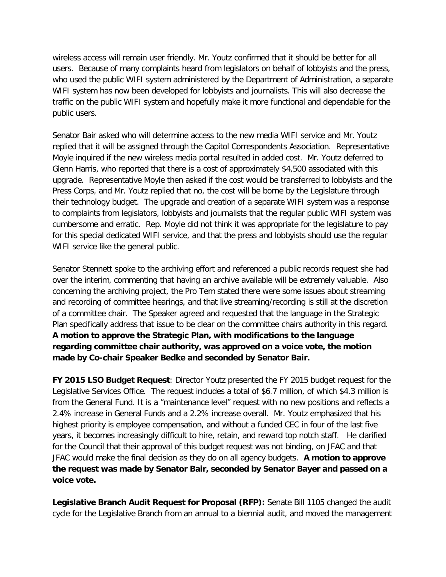wireless access will remain user friendly. Mr. Youtz confirmed that it should be better for all users. Because of many complaints heard from legislators on behalf of lobbyists and the press, who used the public WIFI system administered by the Department of Administration, a separate WIFI system has now been developed for lobbyists and journalists. This will also decrease the traffic on the public WIFI system and hopefully make it more functional and dependable for the public users.

Senator Bair asked who will determine access to the new media WIFI service and Mr. Youtz replied that it will be assigned through the Capitol Correspondents Association. Representative Moyle inquired if the new wireless media portal resulted in added cost. Mr. Youtz deferred to Glenn Harris, who reported that there is a cost of approximately \$4,500 associated with this upgrade. Representative Moyle then asked if the cost would be transferred to lobbyists and the Press Corps, and Mr. Youtz replied that no, the cost will be borne by the Legislature through their technology budget. The upgrade and creation of a separate WIFI system was a response to complaints from legislators, lobbyists and journalists that the regular public WIFI system was cumbersome and erratic. Rep. Moyle did not think it was appropriate for the legislature to pay for this special dedicated WIFI service, and that the press and lobbyists should use the regular WIFI service like the general public.

Senator Stennett spoke to the archiving effort and referenced a public records request she had over the interim, commenting that having an archive available will be extremely valuable. Also concerning the archiving project, the Pro Tem stated there were some issues about streaming and recording of committee hearings, and that live streaming/recording is still at the discretion of a committee chair. The Speaker agreed and requested that the language in the Strategic Plan specifically address that issue to be clear on the committee chairs authority in this regard. **A motion to approve the Strategic Plan, with modifications to the language regarding committee chair authority, was approved on a voice vote, the motion made by Co-chair Speaker Bedke and seconded by Senator Bair.**

**FY 2015 LSO Budget Request**: Director Youtz presented the FY 2015 budget request for the Legislative Services Office. The request includes a total of \$6.7 million, of which \$4.3 million is from the General Fund. It is a "maintenance level" request with no new positions and reflects a 2.4% increase in General Funds and a 2.2% increase overall. Mr. Youtz emphasized that his highest priority is employee compensation, and without a funded CEC in four of the last five years, it becomes increasingly difficult to hire, retain, and reward top notch staff. He clarified for the Council that their approval of this budget request was not binding, on JFAC and that JFAC would make the final decision as they do on all agency budgets. **A motion to approve the request was made by Senator Bair, seconded by Senator Bayer and passed on a voice vote.**

**Legislative Branch Audit Request for Proposal (RFP):** Senate Bill 1105 changed the audit cycle for the Legislative Branch from an annual to a biennial audit, and moved the management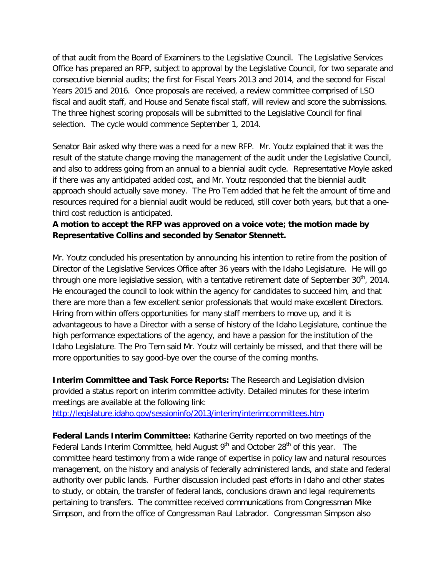of that audit from the Board of Examiners to the Legislative Council. The Legislative Services Office has prepared an RFP, subject to approval by the Legislative Council, for two separate and consecutive biennial audits; the first for Fiscal Years 2013 and 2014, and the second for Fiscal Years 2015 and 2016. Once proposals are received, a review committee comprised of LSO fiscal and audit staff, and House and Senate fiscal staff, will review and score the submissions. The three highest scoring proposals will be submitted to the Legislative Council for final selection. The cycle would commence September 1, 2014.

Senator Bair asked why there was a need for a new RFP. Mr. Youtz explained that it was the result of the statute change moving the management of the audit under the Legislative Council, and also to address going from an annual to a biennial audit cycle. Representative Moyle asked if there was any anticipated added cost, and Mr. Youtz responded that the biennial audit approach should actually save money. The Pro Tem added that he felt the amount of time and resources required for a biennial audit would be reduced, still cover both years, but that a onethird cost reduction is anticipated.

# **A motion to accept the RFP was approved on a voice vote; the motion made by Representative Collins and seconded by Senator Stennett.**

Mr. Youtz concluded his presentation by announcing his intention to retire from the position of Director of the Legislative Services Office after 36 years with the Idaho Legislature. He will go through one more legislative session, with a tentative retirement date of September  $30<sup>th</sup>$ , 2014. He encouraged the council to look within the agency for candidates to succeed him, and that there are more than a few excellent senior professionals that would make excellent Directors. Hiring from within offers opportunities for many staff members to move up, and it is advantageous to have a Director with a sense of history of the Idaho Legislature, continue the high performance expectations of the agency, and have a passion for the institution of the Idaho Legislature. The Pro Tem said Mr. Youtz will certainly be missed, and that there will be more opportunities to say good-bye over the course of the coming months.

**Interim Committee and Task Force Reports:** The Research and Legislation division provided a status report on interim committee activity. Detailed minutes for these interim meetings are available at the following link:

<http://legislature.idaho.gov/sessioninfo/2013/interim/interimcommittees.htm>

**Federal Lands Interim Committee:** Katharine Gerrity reported on two meetings of the Federal Lands Interim Committee, held August  $9<sup>th</sup>$  and October 28<sup>th</sup> of this year. The committee heard testimony from a wide range of expertise in policy law and natural resources management, on the history and analysis of federally administered lands, and state and federal authority over public lands. Further discussion included past efforts in Idaho and other states to study, or obtain, the transfer of federal lands, conclusions drawn and legal requirements pertaining to transfers. The committee received communications from Congressman Mike Simpson, and from the office of Congressman Raul Labrador. Congressman Simpson also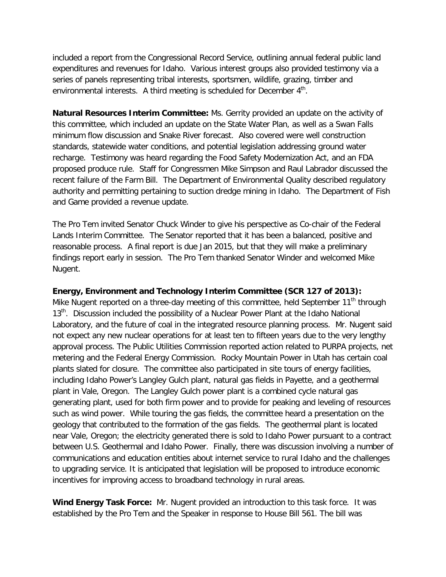included a report from the Congressional Record Service, outlining annual federal public land expenditures and revenues for Idaho. Various interest groups also provided testimony via a series of panels representing tribal interests, sportsmen, wildlife, grazing, timber and environmental interests. A third meeting is scheduled for December  $4<sup>th</sup>$ .

**Natural Resources Interim Committee:** Ms. Gerrity provided an update on the activity of this committee, which included an update on the State Water Plan, as well as a Swan Falls minimum flow discussion and Snake River forecast. Also covered were well construction standards, statewide water conditions, and potential legislation addressing ground water recharge. Testimony was heard regarding the Food Safety Modernization Act, and an FDA proposed produce rule. Staff for Congressmen Mike Simpson and Raul Labrador discussed the recent failure of the Farm Bill. The Department of Environmental Quality described regulatory authority and permitting pertaining to suction dredge mining in Idaho. The Department of Fish and Game provided a revenue update.

The Pro Tem invited Senator Chuck Winder to give his perspective as Co-chair of the Federal Lands Interim Committee. The Senator reported that it has been a balanced, positive and reasonable process. A final report is due Jan 2015, but that they will make a preliminary findings report early in session. The Pro Tem thanked Senator Winder and welcomed Mike Nugent.

#### **Energy, Environment and Technology Interim Committee (SCR 127 of 2013):**

Mike Nugent reported on a three-day meeting of this committee, held September  $11<sup>th</sup>$  through 13<sup>th</sup>. Discussion included the possibility of a Nuclear Power Plant at the Idaho National Laboratory, and the future of coal in the integrated resource planning process. Mr. Nugent said not expect any new nuclear operations for at least ten to fifteen years due to the very lengthy approval process. The Public Utilities Commission reported action related to PURPA projects, net metering and the Federal Energy Commission. Rocky Mountain Power in Utah has certain coal plants slated for closure. The committee also participated in site tours of energy facilities, including Idaho Power's Langley Gulch plant, natural gas fields in Payette, and a geothermal plant in Vale, Oregon. The Langley Gulch power plant is a combined cycle natural gas generating plant, used for both firm power and to provide for peaking and leveling of resources such as wind power. While touring the gas fields, the committee heard a presentation on the geology that contributed to the formation of the gas fields. The geothermal plant is located near Vale, Oregon; the electricity generated there is sold to Idaho Power pursuant to a contract between U.S. Geothermal and Idaho Power. Finally, there was discussion involving a number of communications and education entities about internet service to rural Idaho and the challenges to upgrading service. It is anticipated that legislation will be proposed to introduce economic incentives for improving access to broadband technology in rural areas.

**Wind Energy Task Force:** Mr. Nugent provided an introduction to this task force. It was established by the Pro Tem and the Speaker in response to House Bill 561. The bill was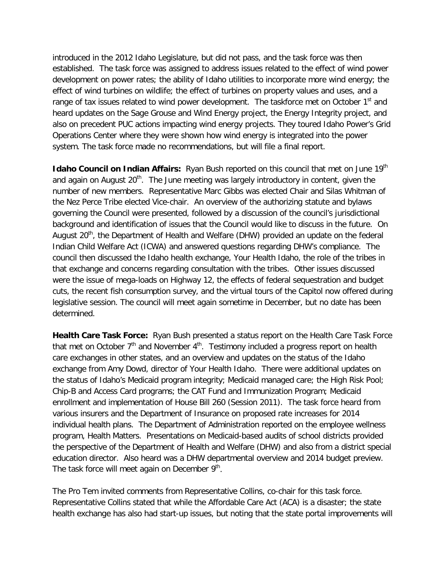introduced in the 2012 Idaho Legislature, but did not pass, and the task force was then established. The task force was assigned to address issues related to the effect of wind power development on power rates; the ability of Idaho utilities to incorporate more wind energy; the effect of wind turbines on wildlife; the effect of turbines on property values and uses, and a range of tax issues related to wind power development. The taskforce met on October 1<sup>st</sup> and heard updates on the Sage Grouse and Wind Energy project, the Energy Integrity project, and also on precedent PUC actions impacting wind energy projects. They toured Idaho Power's Grid Operations Center where they were shown how wind energy is integrated into the power system. The task force made no recommendations, but will file a final report.

**Idaho Council on Indian Affairs:** Ryan Bush reported on this council that met on June 19<sup>th</sup> and again on August  $20<sup>th</sup>$ . The June meeting was largely introductory in content, given the number of new members. Representative Marc Gibbs was elected Chair and Silas Whitman of the Nez Perce Tribe elected Vice-chair. An overview of the authorizing statute and bylaws governing the Council were presented, followed by a discussion of the council's jurisdictional background and identification of issues that the Council would like to discuss in the future. On August  $20<sup>th</sup>$ , the Department of Health and Welfare (DHW) provided an update on the federal Indian Child Welfare Act (ICWA) and answered questions regarding DHW's compliance. The council then discussed the Idaho health exchange, Your Health Idaho, the role of the tribes in that exchange and concerns regarding consultation with the tribes. Other issues discussed were the issue of mega-loads on Highway 12, the effects of federal sequestration and budget cuts, the recent fish consumption survey, and the virtual tours of the Capitol now offered during legislative session. The council will meet again sometime in December, but no date has been determined.

**Health Care Task Force:** Ryan Bush presented a status report on the Health Care Task Force that met on October  $7<sup>th</sup>$  and November  $4<sup>th</sup>$ . Testimony included a progress report on health care exchanges in other states, and an overview and updates on the status of the Idaho exchange from Amy Dowd, director of Your Health Idaho. There were additional updates on the status of Idaho's Medicaid program integrity; Medicaid managed care; the High Risk Pool; Chip-B and Access Card programs; the CAT Fund and Immunization Program; Medicaid enrollment and implementation of House Bill 260 (Session 2011). The task force heard from various insurers and the Department of Insurance on proposed rate increases for 2014 individual health plans. The Department of Administration reported on the employee wellness program, Health Matters. Presentations on Medicaid-based audits of school districts provided the perspective of the Department of Health and Welfare (DHW) and also from a district special education director. Also heard was a DHW departmental overview and 2014 budget preview. The task force will meet again on December  $9<sup>th</sup>$ .

The Pro Tem invited comments from Representative Collins, co-chair for this task force. Representative Collins stated that while the Affordable Care Act (ACA) is a disaster; the state health exchange has also had start-up issues, but noting that the state portal improvements will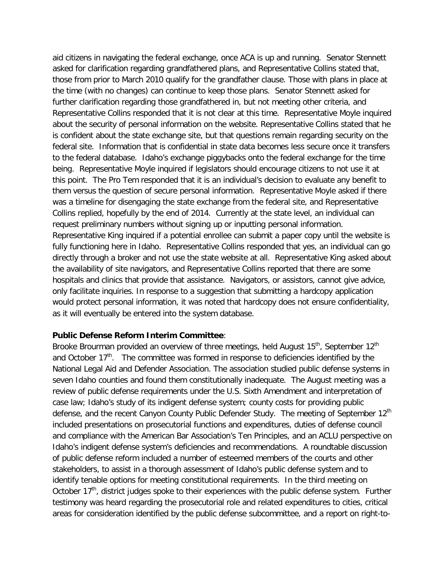aid citizens in navigating the federal exchange, once ACA is up and running. Senator Stennett asked for clarification regarding grandfathered plans, and Representative Collins stated that, those from prior to March 2010 qualify for the grandfather clause. Those with plans in place at the time (with no changes) can continue to keep those plans. Senator Stennett asked for further clarification regarding those grandfathered in, but not meeting other criteria, and Representative Collins responded that it is not clear at this time. Representative Moyle inquired about the security of personal information on the website. Representative Collins stated that he is confident about the state exchange site, but that questions remain regarding security on the federal site. Information that is confidential in state data becomes less secure once it transfers to the federal database. Idaho's exchange piggybacks onto the federal exchange for the time being. Representative Moyle inquired if legislators should encourage citizens to not use it at this point. The Pro Tem responded that it is an individual's decision to evaluate any benefit to them versus the question of secure personal information. Representative Moyle asked if there was a timeline for disengaging the state exchange from the federal site, and Representative Collins replied, hopefully by the end of 2014. Currently at the state level, an individual can request preliminary numbers without signing up or inputting personal information. Representative King inquired if a potential enrollee can submit a paper copy until the website is fully functioning here in Idaho. Representative Collins responded that yes, an individual can go directly through a broker and not use the state website at all. Representative King asked about the availability of site navigators, and Representative Collins reported that there are some hospitals and clinics that provide that assistance. Navigators, or assistors, cannot give advice, only facilitate inquiries. In response to a suggestion that submitting a hardcopy application would protect personal information, it was noted that hardcopy does not ensure confidentiality, as it will eventually be entered into the system database.

#### **Public Defense Reform Interim Committee**:

Brooke Brourman provided an overview of three meetings, held August 15<sup>th</sup>, September 12<sup>th</sup> and October  $17<sup>th</sup>$ . The committee was formed in response to deficiencies identified by the National Legal Aid and Defender Association. The association studied public defense systems in seven Idaho counties and found them constitutionally inadequate. The August meeting was a review of public defense requirements under the U.S. Sixth Amendment and interpretation of case law; Idaho's study of its indigent defense system; county costs for providing public defense, and the recent Canyon County Public Defender Study. The meeting of September 12<sup>th</sup> included presentations on prosecutorial functions and expenditures, duties of defense council and compliance with the American Bar Association's Ten Principles, and an ACLU perspective on Idaho's indigent defense system's deficiencies and recommendations. A roundtable discussion of public defense reform included a number of esteemed members of the courts and other stakeholders, to assist in a thorough assessment of Idaho's public defense system and to identify tenable options for meeting constitutional requirements. In the third meeting on October  $17<sup>th</sup>$ , district judges spoke to their experiences with the public defense system. Further testimony was heard regarding the prosecutorial role and related expenditures to cities, critical areas for consideration identified by the public defense subcommittee, and a report on right-to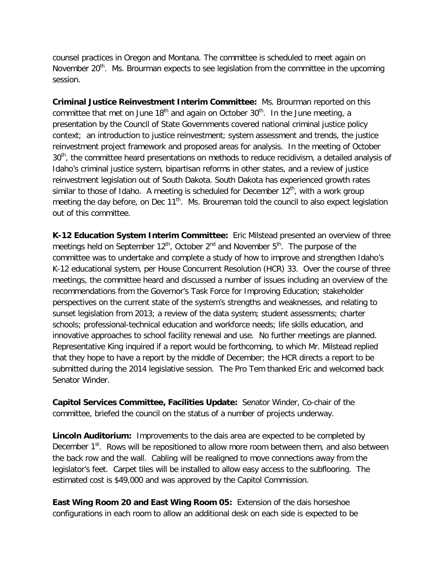counsel practices in Oregon and Montana. The committee is scheduled to meet again on November  $20<sup>th</sup>$ . Ms. Brourman expects to see legislation from the committee in the upcoming session.

**Criminal Justice Reinvestment Interim Committee:** Ms. Brourman reported on this committee that met on June  $18<sup>th</sup>$  and again on October  $30<sup>th</sup>$ . In the June meeting, a presentation by the Council of State Governments covered national criminal justice policy context; an introduction to justice reinvestment; system assessment and trends, the justice reinvestment project framework and proposed areas for analysis. In the meeting of October 30<sup>th</sup>, the committee heard presentations on methods to reduce recidivism, a detailed analysis of Idaho's criminal justice system, bipartisan reforms in other states, and a review of justice reinvestment legislation out of South Dakota. South Dakota has experienced growth rates similar to those of Idaho. A meeting is scheduled for December  $12<sup>th</sup>$ , with a work group meeting the day before, on Dec  $11<sup>th</sup>$ . Ms. Broureman told the council to also expect legislation out of this committee.

**K-12 Education System Interim Committee:** Eric Milstead presented an overview of three meetings held on September  $12<sup>th</sup>$ , October  $2<sup>nd</sup>$  and November  $5<sup>th</sup>$ . The purpose of the committee was to undertake and complete a study of how to improve and strengthen Idaho's K-12 educational system, per House Concurrent Resolution (HCR) 33. Over the course of three meetings, the committee heard and discussed a number of issues including an overview of the recommendations from the Governor's Task Force for Improving Education; stakeholder perspectives on the current state of the system's strengths and weaknesses, and relating to sunset legislation from 2013; a review of the data system; student assessments; charter schools; professional-technical education and workforce needs; life skills education, and innovative approaches to school facility renewal and use. No further meetings are planned. Representative King inquired if a report would be forthcoming, to which Mr. Milstead replied that they hope to have a report by the middle of December; the HCR directs a report to be submitted during the 2014 legislative session. The Pro Tem thanked Eric and welcomed back Senator Winder.

**Capitol Services Committee, Facilities Update:** Senator Winder, Co-chair of the committee, briefed the council on the status of a number of projects underway.

**Lincoln Auditorium:** Improvements to the dais area are expected to be completed by December 1<sup>st</sup>. Rows will be repositioned to allow more room between them, and also between the back row and the wall. Cabling will be realigned to move connections away from the legislator's feet. Carpet tiles will be installed to allow easy access to the subflooring. The estimated cost is \$49,000 and was approved by the Capitol Commission.

**East Wing Room 20 and East Wing Room 05:** Extension of the dais horseshoe configurations in each room to allow an additional desk on each side is expected to be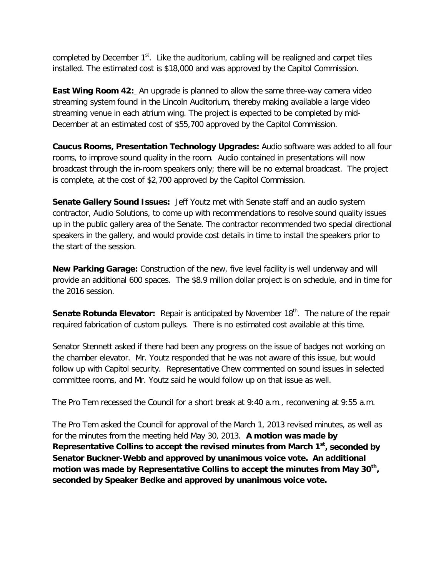completed by December  $1<sup>st</sup>$ . Like the auditorium, cabling will be realigned and carpet tiles installed. The estimated cost is \$18,000 and was approved by the Capitol Commission.

**East Wing Room 42:** An upgrade is planned to allow the same three-way camera video streaming system found in the Lincoln Auditorium, thereby making available a large video streaming venue in each atrium wing. The project is expected to be completed by mid-December at an estimated cost of \$55,700 approved by the Capitol Commission.

**Caucus Rooms, Presentation Technology Upgrades:** Audio software was added to all four rooms, to improve sound quality in the room. Audio contained in presentations will now broadcast through the in-room speakers only; there will be no external broadcast. The project is complete, at the cost of \$2,700 approved by the Capitol Commission.

**Senate Gallery Sound Issues:** Jeff Youtz met with Senate staff and an audio system contractor, Audio Solutions, to come up with recommendations to resolve sound quality issues up in the public gallery area of the Senate. The contractor recommended two special directional speakers in the gallery, and would provide cost details in time to install the speakers prior to the start of the session.

**New Parking Garage:** Construction of the new, five level facility is well underway and will provide an additional 600 spaces. The \$8.9 million dollar project is on schedule, and in time for the 2016 session.

**Senate Rotunda Elevator:** Repair is anticipated by November 18<sup>th</sup>. The nature of the repair required fabrication of custom pulleys. There is no estimated cost available at this time.

Senator Stennett asked if there had been any progress on the issue of badges not working on the chamber elevator. Mr. Youtz responded that he was not aware of this issue, but would follow up with Capitol security. Representative Chew commented on sound issues in selected committee rooms, and Mr. Youtz said he would follow up on that issue as well.

The Pro Tem recessed the Council for a short break at 9:40 a.m., reconvening at 9:55 a.m.

The Pro Tem asked the Council for approval of the March 1, 2013 revised minutes, as well as for the minutes from the meeting held May 30, 2013. **A motion was made by Representative Collins to accept the revised minutes from March 1st, seconded by Senator Buckner-Webb and approved by unanimous voice vote. An additional motion was made by Representative Collins to accept the minutes from May 30th, seconded by Speaker Bedke and approved by unanimous voice vote.**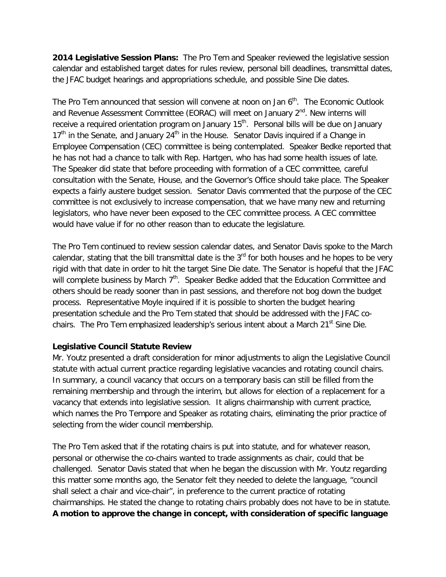**2014 Legislative Session Plans:** The Pro Tem and Speaker reviewed the legislative session calendar and established target dates for rules review, personal bill deadlines, transmittal dates, the JFAC budget hearings and appropriations schedule, and possible Sine Die dates.

The Pro Tem announced that session will convene at noon on Jan  $6<sup>th</sup>$ . The Economic Outlook and Revenue Assessment Committee (EORAC) will meet on January  $2^{nd}$ . New interns will receive a required orientation program on January  $15<sup>th</sup>$ . Personal bills will be due on January  $17<sup>th</sup>$  in the Senate, and January 24<sup>th</sup> in the House. Senator Davis inquired if a Change in Employee Compensation (CEC) committee is being contemplated. Speaker Bedke reported that he has not had a chance to talk with Rep. Hartgen, who has had some health issues of late. The Speaker did state that before proceeding with formation of a CEC committee, careful consultation with the Senate, House, and the Governor's Office should take place. The Speaker expects a fairly austere budget session. Senator Davis commented that the purpose of the CEC committee is not exclusively to increase compensation, that we have many new and returning legislators, who have never been exposed to the CEC committee process. A CEC committee would have value if for no other reason than to educate the legislature.

The Pro Tem continued to review session calendar dates, and Senator Davis spoke to the March calendar, stating that the bill transmittal date is the  $3<sup>rd</sup>$  for both houses and he hopes to be very rigid with that date in order to hit the target Sine Die date. The Senator is hopeful that the JFAC will complete business by March  $7<sup>th</sup>$ . Speaker Bedke added that the Education Committee and others should be ready sooner than in past sessions, and therefore not bog down the budget process. Representative Moyle inquired if it is possible to shorten the budget hearing presentation schedule and the Pro Tem stated that should be addressed with the JFAC cochairs. The Pro Tem emphasized leadership's serious intent about a March 21<sup>st</sup> Sine Die.

# **Legislative Council Statute Review**

Mr. Youtz presented a draft consideration for minor adjustments to align the Legislative Council statute with actual current practice regarding legislative vacancies and rotating council chairs. In summary, a council vacancy that occurs on a temporary basis can still be filled from the remaining membership and through the interim, but allows for election of a replacement for a vacancy that extends into legislative session. It aligns chairmanship with current practice, which names the Pro Tempore and Speaker as rotating chairs, eliminating the prior practice of selecting from the wider council membership.

The Pro Tem asked that if the rotating chairs is put into statute, and for whatever reason, personal or otherwise the co-chairs wanted to trade assignments as chair, could that be challenged. Senator Davis stated that when he began the discussion with Mr. Youtz regarding this matter some months ago, the Senator felt they needed to delete the language, "council shall select a chair and vice-chair", in preference to the current practice of rotating chairmanships. He stated the change to rotating chairs probably does not have to be in statute. **A motion to approve the change in concept, with consideration of specific language**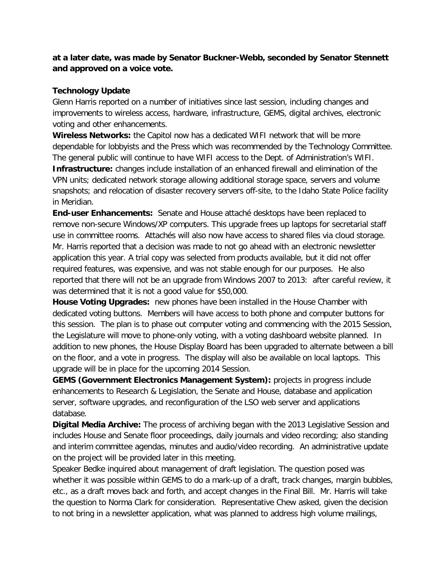**at a later date, was made by Senator Buckner-Webb, seconded by Senator Stennett and approved on a voice vote.**

### **Technology Update**

Glenn Harris reported on a number of initiatives since last session, including changes and improvements to wireless access, hardware, infrastructure, GEMS, digital archives, electronic voting and other enhancements.

**Wireless Networks:** the Capitol now has a dedicated WIFI network that will be more dependable for lobbyists and the Press which was recommended by the Technology Committee. The general public will continue to have WIFI access to the Dept. of Administration's WIFI. **Infrastructure:** changes include installation of an enhanced firewall and elimination of the VPN units; dedicated network storage allowing additional storage space, servers and volume snapshots; and relocation of disaster recovery servers off-site, to the Idaho State Police facility in Meridian.

**End-user Enhancements:** Senate and House attaché desktops have been replaced to remove non-secure Windows/XP computers. This upgrade frees up laptops for secretarial staff use in committee rooms. Attachés will also now have access to shared files via cloud storage. Mr. Harris reported that a decision was made to not go ahead with an electronic newsletter application this year. A trial copy was selected from products available, but it did not offer required features, was expensive, and was not stable enough for our purposes. He also reported that there will not be an upgrade from Windows 2007 to 2013: after careful review, it was determined that it is not a good value for \$50,000.

**House Voting Upgrades:** new phones have been installed in the House Chamber with dedicated voting buttons. Members will have access to both phone and computer buttons for this session. The plan is to phase out computer voting and commencing with the 2015 Session, the Legislature will move to phone-only voting, with a voting dashboard website planned. In addition to new phones, the House Display Board has been upgraded to alternate between a bill on the floor, and a vote in progress. The display will also be available on local laptops. This upgrade will be in place for the upcoming 2014 Session.

**GEMS (Government Electronics Management System):** projects in progress include enhancements to Research & Legislation, the Senate and House, database and application server, software upgrades, and reconfiguration of the LSO web server and applications database.

**Digital Media Archive:** The process of archiving began with the 2013 Legislative Session and includes House and Senate floor proceedings, daily journals and video recording; also standing and interim committee agendas, minutes and audio/video recording. An administrative update on the project will be provided later in this meeting.

Speaker Bedke inquired about management of draft legislation. The question posed was whether it was possible within GEMS to do a mark-up of a draft, track changes, margin bubbles, etc., as a draft moves back and forth, and accept changes in the Final Bill. Mr. Harris will take the question to Norma Clark for consideration. Representative Chew asked, given the decision to not bring in a newsletter application, what was planned to address high volume mailings,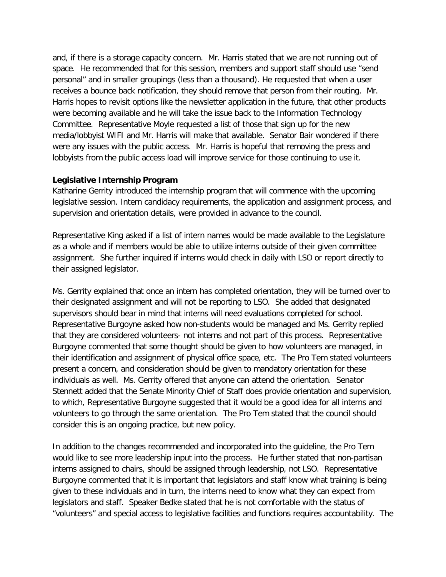and, if there is a storage capacity concern. Mr. Harris stated that we are not running out of space. He recommended that for this session, members and support staff should use "send personal" and in smaller groupings (less than a thousand). He requested that when a user receives a bounce back notification, they should remove that person from their routing. Mr. Harris hopes to revisit options like the newsletter application in the future, that other products were becoming available and he will take the issue back to the Information Technology Committee. Representative Moyle requested a list of those that sign up for the new media/lobbyist WIFI and Mr. Harris will make that available. Senator Bair wondered if there were any issues with the public access. Mr. Harris is hopeful that removing the press and lobbyists from the public access load will improve service for those continuing to use it.

### **Legislative Internship Program**

Katharine Gerrity introduced the internship program that will commence with the upcoming legislative session. Intern candidacy requirements, the application and assignment process, and supervision and orientation details, were provided in advance to the council.

Representative King asked if a list of intern names would be made available to the Legislature as a whole and if members would be able to utilize interns outside of their given committee assignment. She further inquired if interns would check in daily with LSO or report directly to their assigned legislator.

Ms. Gerrity explained that once an intern has completed orientation, they will be turned over to their designated assignment and will not be reporting to LSO. She added that designated supervisors should bear in mind that interns will need evaluations completed for school. Representative Burgoyne asked how non-students would be managed and Ms. Gerrity replied that they are considered volunteers- not interns and not part of this process. Representative Burgoyne commented that some thought should be given to how volunteers are managed, in their identification and assignment of physical office space, etc. The Pro Tem stated volunteers present a concern, and consideration should be given to mandatory orientation for these individuals as well. Ms. Gerrity offered that anyone can attend the orientation. Senator Stennett added that the Senate Minority Chief of Staff does provide orientation and supervision, to which, Representative Burgoyne suggested that it would be a good idea for all interns and volunteers to go through the same orientation. The Pro Tem stated that the council should consider this is an ongoing practice, but new policy.

In addition to the changes recommended and incorporated into the guideline, the Pro Tem would like to see more leadership input into the process. He further stated that non-partisan interns assigned to chairs, should be assigned through leadership, not LSO. Representative Burgoyne commented that it is important that legislators and staff know what training is being given to these individuals and in turn, the interns need to know what they can expect from legislators and staff. Speaker Bedke stated that he is not comfortable with the status of "volunteers" and special access to legislative facilities and functions requires accountability. The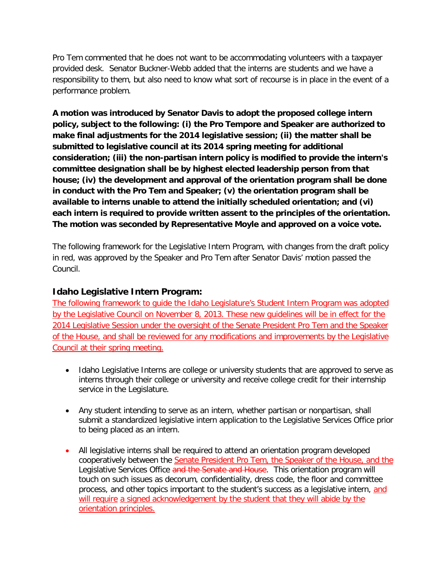Pro Tem commented that he does not want to be accommodating volunteers with a taxpayer provided desk. Senator Buckner-Webb added that the interns are students and we have a responsibility to them, but also need to know what sort of recourse is in place in the event of a performance problem.

**A motion was introduced by Senator Davis to adopt the proposed college intern policy, subject to the following: (i) the Pro Tempore and Speaker are authorized to make final adjustments for the 2014 legislative session; (ii) the matter shall be submitted to legislative council at its 2014 spring meeting for additional consideration; (iii) the non-partisan intern policy is modified to provide the intern's committee designation shall be by highest elected leadership person from that house; (iv) the development and approval of the orientation program shall be done in conduct with the Pro Tem and Speaker; (v) the orientation program shall be available to interns unable to attend the initially scheduled orientation; and (vi) each intern is required to provide written assent to the principles of the orientation. The motion was seconded by Representative Moyle and approved on a voice vote.**

The following framework for the Legislative Intern Program, with changes from the draft policy in red, was approved by the Speaker and Pro Tem after Senator Davis' motion passed the Council.

# **Idaho Legislative Intern Program:**

The following framework to guide the Idaho Legislature's Student Intern Program was adopted by the Legislative Council on November 8, 2013. These new guidelines will be in effect for the 2014 Legislative Session under the oversight of the Senate President Pro Tem and the Speaker of the House, and shall be reviewed for any modifications and improvements by the Legislative Council at their spring meeting.

- Idaho Legislative Interns are college or university students that are approved to serve as interns through their college or university and receive college credit for their internship service in the Legislature.
- Any student intending to serve as an intern, whether partisan or nonpartisan, shall submit a standardized legislative intern application to the Legislative Services Office prior to being placed as an intern.
- All legislative interns shall be required to attend an orientation program developed cooperatively between the Senate President Pro Tem, the Speaker of the House, and the Legislative Services Office and the Senate and House. This orientation program will touch on such issues as decorum, confidentiality, dress code, the floor and committee process, and other topics important to the student's success as a legislative intern, and will require a signed acknowledgement by the student that they will abide by the orientation principles.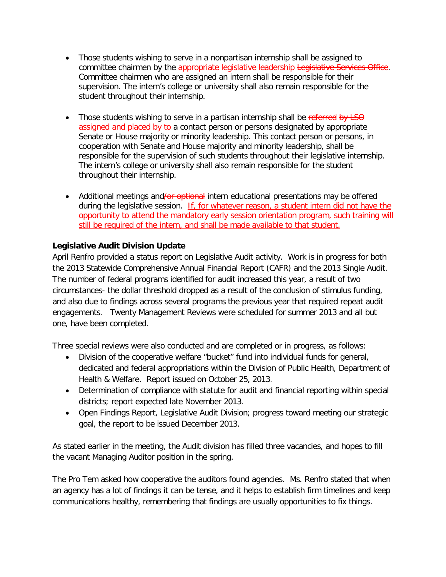- Those students wishing to serve in a nonpartisan internship shall be assigned to committee chairmen by the appropriate legislative leadership Legislative Services Office. Committee chairmen who are assigned an intern shall be responsible for their supervision. The intern's college or university shall also remain responsible for the student throughout their internship.
- Those students wishing to serve in a partisan internship shall be referred by LSO assigned and placed by  $\theta$  a contact person or persons designated by appropriate Senate or House majority or minority leadership. This contact person or persons, in cooperation with Senate and House majority and minority leadership, shall be responsible for the supervision of such students throughout their legislative internship. The intern's college or university shall also remain responsible for the student throughout their internship.
- Additional meetings and/or optional intern educational presentations may be offered during the legislative session. If, for whatever reason, a student intern did not have the opportunity to attend the mandatory early session orientation program, such training will still be required of the intern, and shall be made available to that student.

# **Legislative Audit Division Update**

April Renfro provided a status report on Legislative Audit activity. Work is in progress for both the 2013 Statewide Comprehensive Annual Financial Report (CAFR) and the 2013 Single Audit. The number of federal programs identified for audit increased this year, a result of two circumstances- the dollar threshold dropped as a result of the conclusion of stimulus funding, and also due to findings across several programs the previous year that required repeat audit engagements. Twenty Management Reviews were scheduled for summer 2013 and all but one, have been completed.

Three special reviews were also conducted and are completed or in progress, as follows:

- Division of the cooperative welfare "bucket" fund into individual funds for general, dedicated and federal appropriations within the Division of Public Health, Department of Health & Welfare. Report issued on October 25, 2013.
- Determination of compliance with statute for audit and financial reporting within special districts; report expected late November 2013.
- Open Findings Report, Legislative Audit Division; progress toward meeting our strategic goal, the report to be issued December 2013.

As stated earlier in the meeting, the Audit division has filled three vacancies, and hopes to fill the vacant Managing Auditor position in the spring.

The Pro Tem asked how cooperative the auditors found agencies. Ms. Renfro stated that when an agency has a lot of findings it can be tense, and it helps to establish firm timelines and keep communications healthy, remembering that findings are usually opportunities to fix things.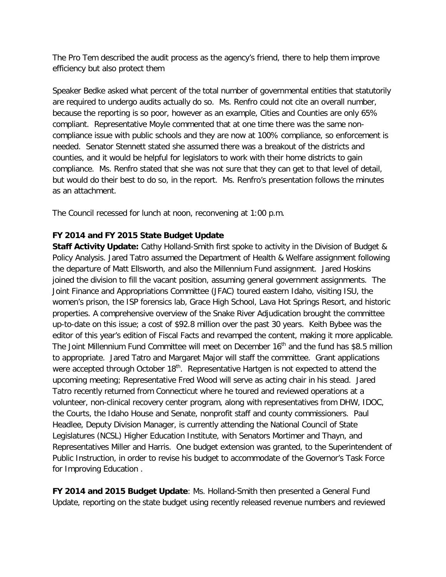The Pro Tem described the audit process as the agency's friend, there to help them improve efficiency but also protect them

Speaker Bedke asked what percent of the total number of governmental entities that statutorily are required to undergo audits actually do so. Ms. Renfro could not cite an overall number, because the reporting is so poor, however as an example, Cities and Counties are only 65% compliant. Representative Moyle commented that at one time there was the same noncompliance issue with public schools and they are now at 100% compliance, so enforcement is needed. Senator Stennett stated she assumed there was a breakout of the districts and counties, and it would be helpful for legislators to work with their home districts to gain compliance. Ms. Renfro stated that she was not sure that they can get to that level of detail, but would do their best to do so, in the report. Ms. Renfro's presentation follows the minutes as an attachment.

The Council recessed for lunch at noon, reconvening at 1:00 p.m.

# **FY 2014 and FY 2015 State Budget Update**

**Staff Activity Update:** Cathy Holland-Smith first spoke to activity in the Division of Budget & Policy Analysis. Jared Tatro assumed the Department of Health & Welfare assignment following the departure of Matt Ellsworth, and also the Millennium Fund assignment. Jared Hoskins joined the division to fill the vacant position, assuming general government assignments. The Joint Finance and Appropriations Committee (JFAC) toured eastern Idaho, visiting ISU, the women's prison, the ISP forensics lab, Grace High School, Lava Hot Springs Resort, and historic properties. A comprehensive overview of the Snake River Adjudication brought the committee up-to-date on this issue; a cost of \$92.8 million over the past 30 years. Keith Bybee was the editor of this year's edition of Fiscal Facts and revamped the content, making it more applicable. The Joint Millennium Fund Committee will meet on December  $16<sup>th</sup>$  and the fund has \$8.5 million to appropriate. Jared Tatro and Margaret Major will staff the committee. Grant applications were accepted through October 18<sup>th</sup>. Representative Hartgen is not expected to attend the upcoming meeting; Representative Fred Wood will serve as acting chair in his stead. Jared Tatro recently returned from Connecticut where he toured and reviewed operations at a volunteer, non-clinical recovery center program, along with representatives from DHW, IDOC, the Courts, the Idaho House and Senate, nonprofit staff and county commissioners. Paul Headlee, Deputy Division Manager, is currently attending the National Council of State Legislatures (NCSL) Higher Education Institute, with Senators Mortimer and Thayn, and Representatives Miller and Harris. One budget extension was granted, to the Superintendent of Public Instruction, in order to revise his budget to accommodate of the Governor's Task Force for Improving Education .

**FY 2014 and 2015 Budget Update**: Ms. Holland-Smith then presented a General Fund Update, reporting on the state budget using recently released revenue numbers and reviewed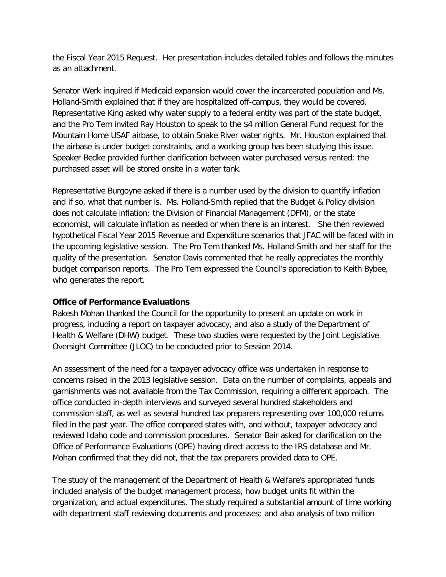the Fiscal Year 2015 Request. Her presentation includes detailed tables and follows the minutes as an attachment.

Senator Werk inquired if Medicaid expansion would cover the incarcerated population and Ms. Holland-Smith explained that if they are hospitalized off-campus, they would be covered. Representative King asked why water supply to a federal entity was part of the state budget, and the Pro Tem invited Ray Houston to speak to the \$4 million General Fund request for the Mountain Home USAF airbase, to obtain Snake River water rights. Mr. Houston explained that the airbase is under budget constraints, and a working group has been studying this issue. Speaker Bedke provided further clarification between water purchased versus rented: the purchased asset will be stored onsite in a water tank.

Representative Burgoyne asked if there is a number used by the division to quantify inflation and if so, what that number is. Ms. Holland-Smith replied that the Budget & Policy division does not calculate inflation; the Division of Financial Management (DFM), or the state economist, will calculate inflation as needed or when there is an interest. She then reviewed hypothetical Fiscal Year 2015 Revenue and Expenditure scenarios that JFAC will be faced with in the upcoming legislative session. The Pro Tem thanked Ms. Holland-Smith and her staff for the quality of the presentation. Senator Davis commented that he really appreciates the monthly budget comparison reports. The Pro Tem expressed the Council's appreciation to Keith Bybee, who generates the report.

# **Office of Performance Evaluations**

Rakesh Mohan thanked the Council for the opportunity to present an update on work in progress, including a report on taxpayer advocacy, and also a study of the Department of Health & Welfare (DHW) budget. These two studies were requested by the Joint Legislative Oversight Committee (JLOC) to be conducted prior to Session 2014.

An assessment of the need for a taxpayer advocacy office was undertaken in response to concerns raised in the 2013 legislative session. Data on the number of complaints, appeals and garnishments was not available from the Tax Commission, requiring a different approach. The office conducted in-depth interviews and surveyed several hundred stakeholders and commission staff, as well as several hundred tax preparers representing over 100,000 returns filed in the past year. The office compared states with, and without, taxpayer advocacy and reviewed Idaho code and commission procedures. Senator Bair asked for clarification on the Office of Performance Evaluations (OPE) having direct access to the IRS database and Mr. Mohan confirmed that they did not, that the tax preparers provided data to OPE.

The study of the management of the Department of Health & Welfare's appropriated funds included analysis of the budget management process, how budget units fit within the organization, and actual expenditures. The study required a substantial amount of time working with department staff reviewing documents and processes; and also analysis of two million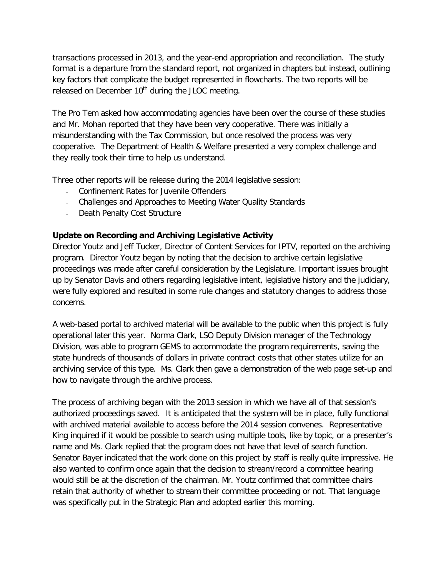transactions processed in 2013, and the year-end appropriation and reconciliation. The study format is a departure from the standard report, not organized in chapters but instead, outlining key factors that complicate the budget represented in flowcharts. The two reports will be released on December  $10<sup>th</sup>$  during the JLOC meeting.

The Pro Tem asked how accommodating agencies have been over the course of these studies and Mr. Mohan reported that they have been very cooperative. There was initially a misunderstanding with the Tax Commission, but once resolved the process was very cooperative. The Department of Health & Welfare presented a very complex challenge and they really took their time to help us understand.

Three other reports will be release during the 2014 legislative session:

- Confinement Rates for Juvenile Offenders
- Challenges and Approaches to Meeting Water Quality Standards
- Death Penalty Cost Structure

# **Update on Recording and Archiving Legislative Activity**

Director Youtz and Jeff Tucker, Director of Content Services for IPTV, reported on the archiving program. Director Youtz began by noting that the decision to archive certain legislative proceedings was made after careful consideration by the Legislature. Important issues brought up by Senator Davis and others regarding legislative intent, legislative history and the judiciary, were fully explored and resulted in some rule changes and statutory changes to address those concerns.

A web-based portal to archived material will be available to the public when this project is fully operational later this year. Norma Clark, LSO Deputy Division manager of the Technology Division, was able to program GEMS to accommodate the program requirements, saving the state hundreds of thousands of dollars in private contract costs that other states utilize for an archiving service of this type. Ms. Clark then gave a demonstration of the web page set-up and how to navigate through the archive process.

The process of archiving began with the 2013 session in which we have all of that session's authorized proceedings saved. It is anticipated that the system will be in place, fully functional with archived material available to access before the 2014 session convenes. Representative King inquired if it would be possible to search using multiple tools, like by topic, or a presenter's name and Ms. Clark replied that the program does not have that level of search function. Senator Bayer indicated that the work done on this project by staff is really quite impressive. He also wanted to confirm once again that the decision to stream/record a committee hearing would still be at the discretion of the chairman. Mr. Youtz confirmed that committee chairs retain that authority of whether to stream their committee proceeding or not. That language was specifically put in the Strategic Plan and adopted earlier this morning.